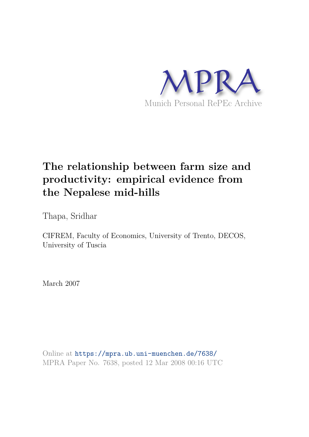

# **The relationship between farm size and productivity: empirical evidence from the Nepalese mid-hills**

Thapa, Sridhar

CIFREM, Faculty of Economics, University of Trento, DECOS, University of Tuscia

March 2007

Online at https://mpra.ub.uni-muenchen.de/7638/ MPRA Paper No. 7638, posted 12 Mar 2008 00:16 UTC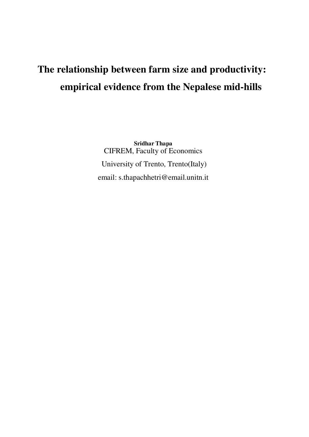# **The relationship between farm size and productivity: empirical evidence from the Nepalese mid-hills**

**Sridhar Thapa** CIFREM, Faculty of Economics University of Trento, Trento(Italy) email: s.thapachhetri@email.unitn.it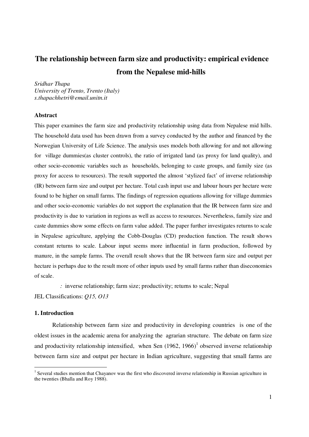# **The relationship between farm size and productivity: empirical evidence from the Nepalese mid-hills**

*Sridhar Thapa University of Trento, Trento (Italy) s.thapachhetri@email.unitn.it*

### **Abstract**

This paper examines the farm size and productivity relationship using data from Nepalese mid hills. The household data used has been drawn from a survey conducted by the author and financed by the Norwegian University of Life Science. The analysis uses models both allowing for and not allowing for village dummies(as cluster controls), the ratio of irrigated land (as proxy for land quality), and other socio-economic variables such as households, belonging to caste groups, and family size (as proxy for access to resources). The result supported the almost 'stylized fact' of inverse relationship (IR) between farm size and output per hectare. Total cash input use and labour hours per hectare were found to be higher on small farms. The findings of regression equations allowing for village dummies and other socio-economic variables do not support the explanation that the IR between farm size and productivity is due to variation in regions as well as access to resources. Nevertheless, family size and caste dummies show some effects on farm value added. The paper further investigates returns to scale in Nepalese agriculture, applying the Cobb-Douglas (CD) production function. The result shows constant returns to scale. Labour input seems more influential in farm production, followed by manure, in the sample farms. The overall result shows that the IR between farm size and output per hectare is perhaps due to the result more of other inputs used by small farms rather than diseconomies of scale.

*:* inverse relationship; farm size; productivity; returns to scale; Nepal

JEL Classifications: *Q15, O13*

## **1. Introduction**

Relationship between farm size and productivity in developing countries is one of the oldest issues in the academic arena for analyzing the agrarian structure. The debate on farm size and productivity relationship intensified, when Sen  $(1962, 1966)^{1}$  observed inverse relationship between farm size and output per hectare in Indian agriculture, suggesting that small farms are

<sup>&</sup>lt;sup>1</sup> Several studies mention that Chayanov was the first who discovered inverse relationship in Russian agriculture in the twenties (Bhalla and Roy 1988).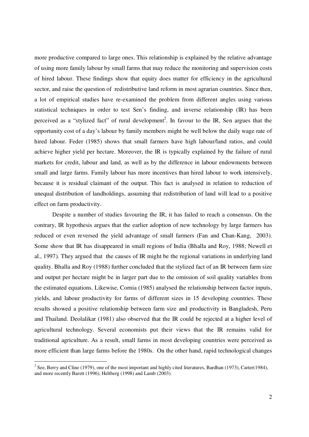more productive compared to large ones. This relationship is explained by the relative advantage of using more family labour by small farms that may reduce the monitoring and supervision costs of hired labour. These findings show that equity does matter for efficiency in the agricultural sector, and raise the question of redistributive land reform in most agrarian countries. Since then, a lot of empirical studies have re-examined the problem from different angles using various statistical techniques in order to test Sen's finding, and inverse relationship (IR) has been perceived as a "stylized fact" of rural development<sup>2</sup>. In favour to the IR, Sen argues that the opportunity cost of a day's labour by family members might be well below the daily wage rate of hired labour. Feder (1985) shows that small farmers have high labour/land ratios, and could achieve higher yield per hectare. Moreover, the IR is typically explained by the failure of rural markets for credit, labour and land, as well as by the difference in labour endowments between small and large farms. Family labour has more incentives than hired labour to work intensively, because it is residual claimant of the output. This fact is analysed in relation to reduction of unequal distribution of landholdings, assuming that redistribution of land will lead to a positive effect on farm productivity.

Despite a number of studies favouring the IR, it has failed to reach a consensus. On the contrary, IR hypothesis argues that the earlier adoption of new technology by large farmers has reduced or even reversed the yield advantage of small farmers (Fan and Chan-Kang, 2003). Some show that IR has disappeared in small regions of India (Bhalla and Roy, 1988; Newell et al., 1997). They argued that the causes of IR might be the regional variations in underlying land quality. Bhalla and Roy (1988) further concluded that the stylized fact of an IR between farm size and output per hectare might be in larger part due to the omission of soil quality variables from the estimated equations. Likewise, Cornia (1985) analysed the relationship between factor inputs, yields, and labour productivity for farms of different sizes in 15 developing countries. These results showed a positive relationship between farm size and productivity in Bangladesh, Peru and Thailand. Deolalikar (1981) also observed that the IR could be rejected at a higher level of agricultural technology. Several economists put their views that the IR remains valid for traditional agriculture. As a result, small farms in most developing countries were perceived as more efficient than large farms before the 1980s. On the other hand, rapid technological changes

<sup>&</sup>lt;sup>2</sup> See, Berry and Cline (1979), one of the most important and highly cited literatures, Bardhan (1973), Carter(1984), and more recently Barett (1996), Heltberg (1998) and Lamb (2003).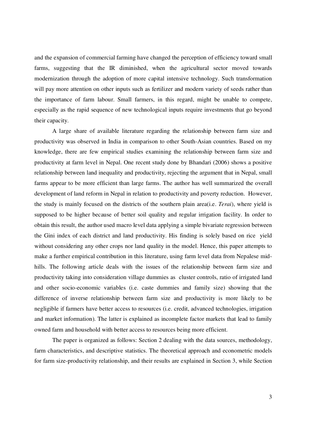and the expansion of commercial farming have changed the perception of efficiency toward small farms, suggesting that the IR diminished, when the agricultural sector moved towards modernization through the adoption of more capital intensive technology. Such transformation will pay more attention on other inputs such as fertilizer and modern variety of seeds rather than the importance of farm labour. Small farmers, in this regard, might be unable to compete, especially as the rapid sequence of new technological inputs require investments that go beyond their capacity.

A large share of available literature regarding the relationship between farm size and productivity was observed in India in comparison to other South-Asian countries. Based on my knowledge, there are few empirical studies examining the relationship between farm size and productivity at farm level in Nepal. One recent study done by Bhandari (2006) shows a positive relationship between land inequality and productivity, rejecting the argument that in Nepal, small farms appear to be more efficient than large farms. The author has well summarized the overall development of land reform in Nepal in relation to productivity and poverty reduction. However, the study is mainly focused on the districts of the southern plain area(i.e. *Terai*), where yield is supposed to be higher because of better soil quality and regular irrigation facility. In order to obtain this result, the author used macro level data applying a simple bivariate regression between the Gini index of each district and land productivity. His finding is solely based on rice yield without considering any other crops nor land quality in the model. Hence, this paper attempts to make a further empirical contribution in this literature, using farm level data from Nepalese midhills. The following article deals with the issues of the relationship between farm size and productivity taking into consideration village dummies as cluster controls, ratio of irrigated land and other socio-economic variables (i.e. caste dummies and family size) showing that the difference of inverse relationship between farm size and productivity is more likely to be negligible if farmers have better access to resources (i.e. credit, advanced technologies, irrigation and market information). The latter is explained as incomplete factor markets that lead to family owned farm and household with better access to resources being more efficient.

The paper is organized as follows: Section 2 dealing with the data sources, methodology, farm characteristics, and descriptive statistics. The theoretical approach and econometric models for farm size-productivity relationship, and their results are explained in Section 3, while Section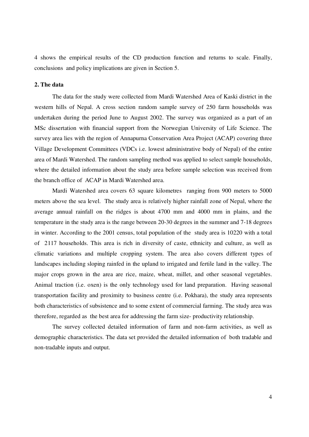4 shows the empirical results of the CD production function and returns to scale. Finally, conclusions and policy implications are given in Section 5.

## **2. The data**

The data for the study were collected from Mardi Watershed Area of Kaski district in the western hills of Nepal. A cross section random sample survey of 250 farm households was undertaken during the period June to August 2002. The survey was organized as a part of an MSc dissertation with financial support from the Norwegian University of Life Science. The survey area lies with the region of Annapurna Conservation Area Project (ACAP) covering three Village Development Committees (VDCs i.e. lowest administrative body of Nepal) of the entire area of Mardi Watershed. The random sampling method was applied to select sample households, where the detailed information about the study area before sample selection was received from the branch office of ACAP in Mardi Watershed area.

Mardi Watershed area covers 63 square kilometres ranging from 900 meters to 5000 meters above the sea level. The study area is relatively higher rainfall zone of Nepal, where the average annual rainfall on the ridges is about 4700 mm and 4000 mm in plains, and the temperature in the study area is the range between 20-30 degrees in the summer and 7-18 degrees in winter. According to the 2001 census, total population of the study area is 10220 with a total of 2117 households. This area is rich in diversity of caste, ethnicity and culture, as well as climatic variations and multiple cropping system. The area also covers different types of landscapes including sloping rainfed in the upland to irrigated and fertile land in the valley. The major crops grown in the area are rice, maize, wheat, millet, and other seasonal vegetables. Animal traction (i.e. oxen) is the only technology used for land preparation. Having seasonal transportation facility and proximity to business centre (i.e. Pokhara), the study area represents both characteristics of subsistence and to some extent of commercial farming. The study area was therefore, regarded as the best area for addressing the farm size- productivity relationship.

The survey collected detailed information of farm and non-farm activities, as well as demographic characteristics. The data set provided the detailed information of both tradable and non-tradable inputs and output.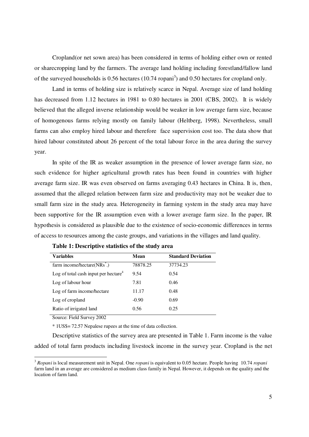Cropland(or net sown area) has been considered in terms of holding either own or rented or sharecropping land by the farmers. The average land holding including forestland/fallow land of the surveyed households is  $0.56$  hectares  $(10.74 \text{ ropani}^3)$  and  $0.50$  hectares for cropland only.

Land in terms of holding size is relatively scarce in Nepal. Average size of land holding has decreased from 1.12 hectares in 1981 to 0.80 hectares in 2001 (CBS, 2002). It is widely believed that the alleged inverse relationship would be weaker in low average farm size, because of homogenous farms relying mostly on family labour (Heltberg, 1998). Nevertheless, small farms can also employ hired labour and therefore face supervision cost too. The data show that hired labour constituted about 26 percent of the total labour force in the area during the survey year.

In spite of the IR as weaker assumption in the presence of lower average farm size, no such evidence for higher agricultural growth rates has been found in countries with higher average farm size. IR was even observed on farms averaging 0.43 hectares in China. It is, then, assumed that the alleged relation between farm size and productivity may not be weaker due to small farm size in the study area. Heterogeneity in farming system in the study area may have been supportive for the IR assumption even with a lower average farm size. In the paper, IR hypothesis is considered as plausible due to the existence of socio-economic differences in terms of access to resources among the caste groups, and variations in the villages and land quality.

| <b>Variables</b>                                 | Mean     | <b>Standard Deviation</b> |
|--------------------------------------------------|----------|---------------------------|
| farm income/hectare(NRs <sup>*</sup> .)          | 78878.25 | 37734.23                  |
| Log of total cash input per hectare <sup>4</sup> | 9.54     | 0.54                      |
| Log of labour hour                               | 7.81     | 0.46                      |
| Log of farm income/hectare                       | 11.17    | 0.48                      |
| Log of cropland                                  | $-0.90$  | 0.69                      |
| Ratio of irrigated land                          | 0.56     | 0.25                      |

**Table 1: Descriptive statistics of the study area**

Source: Field Survey 2002

\* 1US\$= 72.57 Nepalese rupees at the time of data collection.

Descriptive statistics of the survey area are presented in Table 1. Farm income is the value added of total farm products including livestock income in the survey year. Cropland is the net

<sup>3</sup> *Ropani* is local measurement unit in Nepal. One *ropani* is equivalent to 0.05 hectare. People having 10.74 *ropani* farm land in an average are considered as medium class family in Nepal. However, it depends on the quality and the location of farm land.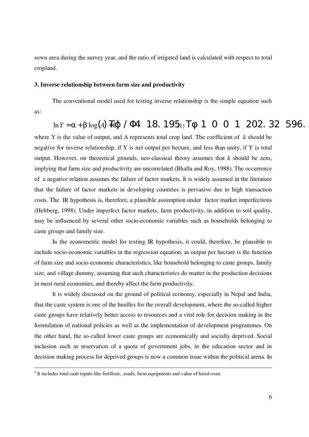sown area during the survey year, and the ratio of irrigated land is calculated with respect to total cropland.

# **3. Inverse relationship between farm size and productivity**

The conventional model used for testing inverse relationship is the simple equation such as:

$$
\ln Y = \alpha + \beta \log(A) \cdot \text{Hg} \quad / \text{H} \quad 18.195 \quad \text{T}\phi \quad 1 \quad 0 \quad 0 \quad 1 \quad 202.32 \quad 596.
$$

where Y is the value of output, and A represents total crop land. The coefficient of â should be negative for inverse relationship, if Y is net output per hectare, and less than unity, if Y is total output. However, on theoretical grounds, neo-classical theory assumes that â should be zero, implying that farm size and productivity are uncorrelated (Bhalla and Roy, 1988). The occurrence of a negative relation assumes the failure of factor markets. It is widely assumed in the literature that the failure of factor markets in developing countries is pervasive due to high transaction costs. The IR hypothesis is, therefore, a plausible assumption under factor market imperfections (Heltberg, 1998). Under imperfect factor markets, farm productivity, in addition to soil quality, may be influenced by several other socio-economic variables such as households belonging to caste groups and family size.

In the econometric model for testing IR hypothesis, it could, therefore, be plausible to include socio-economic variables in the regression equation, as output per hectare is the function of farm size and socio-economic characteristics, like household belonging to caste groups, family size, and village dummy, assuming that such characteristics do matter in the production decisions in most rural economies, and thereby affect the farm productivity.

It is widely discussed on the ground of political economy, especially in Nepal and India, that the caste system is one of the hurdles for the overall development, where the so-called higher caste groups have relatively better access to resources and a vital role for decision making in the formulation of national policies as well as the implementation of development programmes. On the other hand, the so-called lower caste groups are economically and socially deprived. Social inclusion such as reservation of a quota of government jobs, in the education sector and in decision making process for deprived groups is now a common issue within the political arena. In

<sup>&</sup>lt;sup>4</sup> It includes total cash inputs like fertilizer, , seeds, farm equipments and value of hired oxen.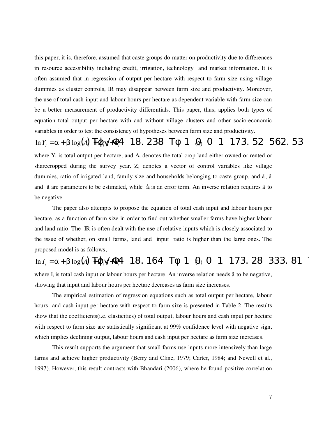this paper, it is, therefore, assumed that caste groups do matter on productivity due to differences in resource accessibility including credit, irrigation, technology and market information. It is often assumed that in regression of output per hectare with respect to farm size using village dummies as cluster controls, IR may disappear between farm size and productivity. Moreover, the use of total cash input and labour hours per hectare as dependent variable with farm size can be a better measurement of productivity differentials. This paper, thus, applies both types of equation total output per hectare with and without village clusters and other socio-economic variables in order to test the consistency of hypotheses between farm size and productivity.

 $\ln Y_i = \alpha + \beta \log(A)$   $\text{Tr}(\alpha) + \beta$  18. 238  $\text{Tr}(\beta)$  1 (20 0 1 173. 52 562. 53 where  $Y_i$  is total output per hectare, and  $A_i$  denotes the total crop land either owned or rented or sharecropped during the survey year.  $Z_i$  denotes a vector of control variables like village dummies, ratio of irrigated land, family size and households belonging to caste group, and á, â and  $\tilde{a}$  are parameters to be estimated, while  $\dot{a}_i$  is an error term. An inverse relation requires  $\hat{a}$  to be negative.

The paper also attempts to propose the equation of total cash input and labour hours per hectare, as a function of farm size in order to find out whether smaller farms have higher labour and land ratio. The IR is often dealt with the use of relative inputs which is closely associated to the issue of whether, on small farms, land and input ratio is higher than the large ones. The proposed model is as follows;

 $\ln I_i = \alpha + \beta \log(A)$   $\text{Tr}(\alpha) + \frac{\beta + 1}{2}$  18. 164  $\text{Tr}(\beta)$  1 (30 0 1 173. 28 333. 81 where I<sub>i</sub> is total cash input or labour hours per hectare. An inverse relation needs â to be negative, showing that input and labour hours per hectare decreases as farm size increases.

The empirical estimation of regression equations such as total output per hectare, labour hours and cash input per hectare with respect to farm size is presented in Table 2. The results show that the coefficients(i.e. elasticities) of total output, labour hours and cash input per hectare with respect to farm size are statistically significant at 99% confidence level with negative sign, which implies declining output, labour hours and cash input per hectare as farm size increases.

This result supports the argument that small farms use inputs more intensively than large farms and achieve higher productivity (Berry and Cline, 1979; Carter, 1984; and Newell et al., 1997). However, this result contrasts with Bhandari (2006), where he found positive correlation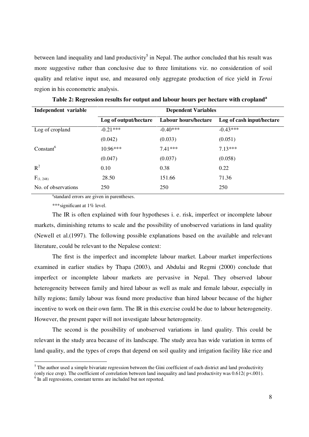between land inequality and land productivity<sup>5</sup> in Nepal. The author concluded that his result was more suggestive rather than conclusive due to three limitations viz. no consideration of soil quality and relative input use, and measured only aggregate production of rice yield in *Terai* region in his econometric analysis.

| Independent variable  | <b>Dependent Variables</b> |                      |                           |
|-----------------------|----------------------------|----------------------|---------------------------|
|                       | Log of output/hectare      | Labour hours/hectare | Log of cash input/hectare |
| Log of cropland       | $-0.21***$                 | $-0.40***$           | $-0.43***$                |
|                       | (0.042)                    | (0.033)              | (0.051)                   |
| Constant <sup>6</sup> | $10.96***$                 | $7.41***$            | $7.13***$                 |
|                       | (0.047)                    | (0.037)              | (0.058)                   |
| $R^2$                 | 0.10                       | 0.38                 | 0.22                      |
| $F_{(1, 248)}$        | 28.50                      | 151.66               | 71.36                     |
| No. of observations   | 250                        | 250                  | 250                       |

**Table 2: Regression results for output and labour hours per hectare with cropland<sup>a</sup>**

a<sub>standard</sub> errors are given in parentheses.

\*\*\*significant at 1% level.

The IR is often explained with four hypotheses i. e. risk, imperfect or incomplete labour markets, diminishing returns to scale and the possibility of unobserved variations in land quality (Newell et al.(1997). The following possible explanations based on the available and relevant literature, could be relevant to the Nepalese context:

The first is the imperfect and incomplete labour market. Labour market imperfections examined in earlier studies by Thapa (2003), and Abdulai and Regmi (2000) conclude that imperfect or incomplete labour markets are pervasive in Nepal. They observed labour heterogeneity between family and hired labour as well as male and female labour, especially in hilly regions; family labour was found more productive than hired labour because of the higher incentive to work on their own farm. The IR in this exercise could be due to labour heterogeneity. However, the present paper will not investigate labour heterogeneity.

The second is the possibility of unobserved variations in land quality. This could be relevant in the study area because of its landscape. The study area has wide variation in terms of land quality, and the types of crops that depend on soil quality and irrigation facility like rice and

 $<sup>5</sup>$  The author used a simple bivariate regression between the Gini coefficient of each district and land productivity</sup> (only rice crop). The coefficient of correlation between land inequality and land productivity was  $0.612$ ( $p<.001$ ).

<sup>&</sup>lt;sup>6</sup> In all regressions, constant terms are included but not reported.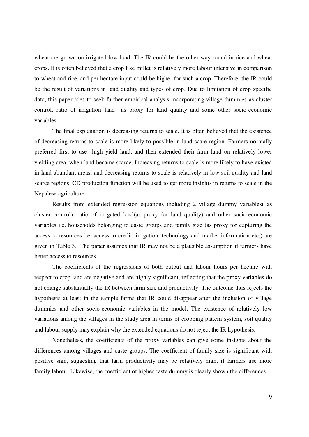wheat are grown on irrigated low land. The IR could be the other way round in rice and wheat crops. It is often believed that a crop like millet is relatively more labour intensive in comparison to wheat and rice, and per hectare input could be higher for such a crop. Therefore, the IR could be the result of variations in land quality and types of crop. Due to limitation of crop specific data, this paper tries to seek further empirical analysis incorporating village dummies as cluster control, ratio of irrigation land as proxy for land quality and some other socio-economic variables.

The final explanation is decreasing returns to scale. It is often believed that the existence of decreasing returns to scale is more likely to possible in land scare region. Farmers normally preferred first to use high yield land, and then extended their farm land on relatively lower yielding area, when land became scarce. Increasing returns to scale is more likely to have existed in land abundant areas, and decreasing returns to scale is relatively in low soil quality and land scarce regions. CD production function will be used to get more insights in returns to scale in the Nepalese agriculture.

Results from extended regression equations including 2 village dummy variables( as cluster control), ratio of irrigated land(as proxy for land quality) and other socio-economic variables i.e. households belonging to caste groups and family size (as proxy for capturing the access to resources i.e. access to credit, irrigation, technology and market information etc.) are given in Table 3. The paper assumes that IR may not be a plausible assumption if farmers have better access to resources.

The coefficients of the regressions of both output and labour hours per hectare with respect to crop land are negative and are highly significant, reflecting that the proxy variables do not change substantially the IR between farm size and productivity. The outcome thus rejects the hypothesis at least in the sample farms that IR could disappear after the inclusion of village dummies and other socio-economic variables in the model. The existence of relatively low variations among the villages in the study area in terms of cropping pattern system, soil quality and labour supply may explain why the extended equations do not reject the IR hypothesis.

Nonetheless, the coefficients of the proxy variables can give some insights about the differences among villages and caste groups. The coefficient of family size is significant with positive sign, suggesting that farm productivity may be relatively high, if farmers use more family labour. Likewise, the coefficient of higher caste dummy is clearly shown the differences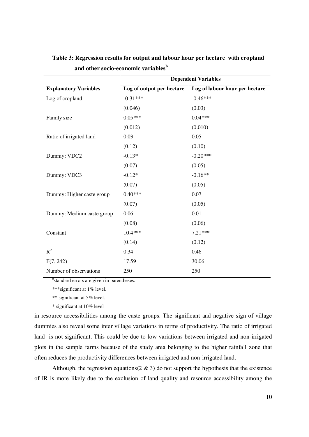|                              | <b>Dependent Variables</b> |                                |  |
|------------------------------|----------------------------|--------------------------------|--|
| <b>Explanatory Variables</b> | Log of output per hectare  | Log of labour hour per hectare |  |
| Log of cropland              | $-0.31***$                 | $-0.46***$                     |  |
|                              | (0.046)                    | (0.03)                         |  |
| Family size                  | $0.05***$                  | $0.04***$                      |  |
|                              | (0.012)                    | (0.010)                        |  |
| Ratio of irrigated land      | 0.03                       | 0.05                           |  |
|                              | (0.12)                     | (0.10)                         |  |
| Dummy: VDC2                  | $-0.13*$                   | $-0.20***$                     |  |
|                              | (0.07)                     | (0.05)                         |  |
| Dummy: VDC3                  | $-0.12*$                   | $-0.16**$                      |  |
|                              | (0.07)                     | (0.05)                         |  |
| Dummy: Higher caste group    | $0.40***$                  | 0.07                           |  |
|                              | (0.07)                     | (0.05)                         |  |
| Dummy: Medium caste group    | 0.06                       | $0.01\,$                       |  |
|                              | (0.08)                     | (0.06)                         |  |
| Constant                     | $10.4***$                  | $7.21***$                      |  |
|                              | (0.14)                     | (0.12)                         |  |
| $R^2$                        | 0.34                       | 0.46                           |  |
| F(7, 242)                    | 17.59                      | 30.06                          |  |
| Number of observations       | 250                        | 250                            |  |

**Table 3: Regression results for output and labour hour per hectare with cropland and other socio-economic variables<sup>b</sup>**

<sup>b</sup>standard errors are given in parentheses.

\*\*\*significant at 1% level.

\*\* significant at 5% level.

\* significant at 10% level

in resource accessibilities among the caste groups. The significant and negative sign of village dummies also reveal some inter village variations in terms of productivity. The ratio of irrigated land is not significant. This could be due to low variations between irrigated and non-irrigated plots in the sample farms because of the study area belonging to the higher rainfall zone that often reduces the productivity differences between irrigated and non-irrigated land.

Although, the regression equations(2  $\&$  3) do not support the hypothesis that the existence of IR is more likely due to the exclusion of land quality and resource accessibility among the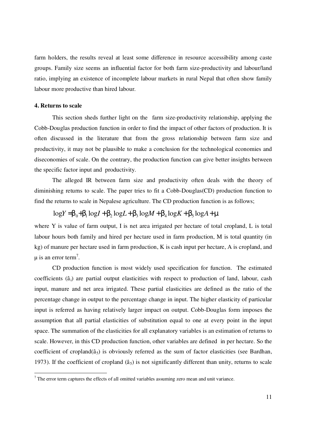farm holders, the results reveal at least some difference in resource accessibility among caste groups. Family size seems an influential factor for both farm size-productivity and labour/land ratio, implying an existence of incomplete labour markets in rural Nepal that often show family labour more productive than hired labour.

# **4. Returns to scale**

This section sheds further light on the farm size-productivity relationship, applying the Cobb-Douglas production function in order to find the impact of other factors of production. It is often discussed in the literature that from the gross relationship between farm size and productivity, it may not be plausible to make a conclusion for the technological economies and diseconomies of scale. On the contrary, the production function can give better insights between the specific factor input and productivity.

The alleged IR between farm size and productivity often deals with the theory of diminishing returns to scale. The paper tries to fit a Cobb-Douglas(CD) production function to find the returns to scale in Nepalese agriculture. The CD production function is as follows;

# $\log Y = \beta_0 + \beta_1 \log I + \beta_2 \log L + \beta_3 \log M + \beta_4 \log K + \beta_5 \log A + \mu$

where Y is value of farm output, I is net area irrigated per hectare of total cropland, L is total labour hours both family and hired per hectare used in farm production, M is total quantity (in kg) of manure per hectare used in farm production, K is cash input per hectare, A is cropland, and  $\mu$  is an error term<sup>7</sup>.

CD production function is most widely used specification for function. The estimated coefficients  $(\hat{a}_i)$  are partial output elasticities with respect to production of land, labour, cash input, manure and net area irrigated. These partial elasticities are defined as the ratio of the percentage change in output to the percentage change in input. The higher elasticity of particular input is referred as having relatively larger impact on output. Cobb-Douglas form imposes the assumption that all partial elasticities of substitution equal to one at every point in the input space. The summation of the elasticities for all explanatory variables is an estimation of returns to scale. However, in this CD production function, other variables are defined in per hectare. So the coefficient of cropland( $\hat{a}_5$ ) is obviously referred as the sum of factor elasticities (see Bardhan, 1973). If the coefficient of cropland  $(\hat{a}_5)$  is not significantly different than unity, returns to scale

 $<sup>7</sup>$  The error term captures the effects of all omitted variables assuming zero mean and unit variance.</sup>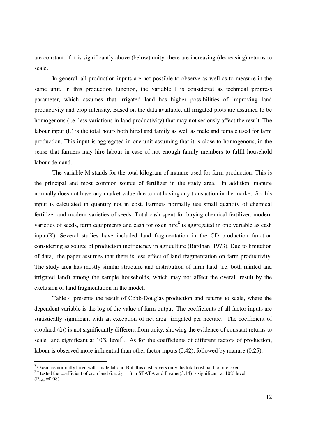are constant; if it is significantly above (below) unity, there are increasing (decreasing) returns to scale.

In general, all production inputs are not possible to observe as well as to measure in the same unit. In this production function, the variable I is considered as technical progress parameter, which assumes that irrigated land has higher possibilities of improving land productivity and crop intensity. Based on the data available, all irrigated plots are assumed to be homogenous (i.e. less variations in land productivity) that may not seriously affect the result. The labour input (L) is the total hours both hired and family as well as male and female used for farm production. This input is aggregated in one unit assuming that it is close to homogenous, in the sense that farmers may hire labour in case of not enough family members to fulfil household labour demand.

The variable M stands for the total kilogram of manure used for farm production. This is the principal and most common source of fertilizer in the study area. In addition, manure normally does not have any market value due to not having any transaction in the market. So this input is calculated in quantity not in cost. Farmers normally use small quantity of chemical fertilizer and modern varieties of seeds. Total cash spent for buying chemical fertilizer, modern varieties of seeds, farm equipments and cash for oxen hire $\delta$  is aggregated in one variable as cash input(K). Several studies have included land fragmentation in the CD production function considering as source of production inefficiency in agriculture (Bardhan, 1973). Due to limitation of data, the paper assumes that there is less effect of land fragmentation on farm productivity. The study area has mostly similar structure and distribution of farm land (i.e. both rainfed and irrigated land) among the sample households, which may not affect the overall result by the exclusion of land fragmentation in the model.

Table 4 presents the result of Cobb-Douglas production and returns to scale, where the dependent variable is the log of the value of farm output. The coefficients of all factor inputs are statistically significant with an exception of net area irrigated per hectare. The coefficient of cropland  $(\hat{a}_5)$  is not significantly different from unity, showing the evidence of constant returns to scale and significant at  $10\%$  level<sup>9</sup>. As for the coefficients of different factors of production, labour is observed more influential than other factor inputs (0.42), followed by manure (0.25).

<sup>&</sup>lt;sup>8</sup> Oxen are normally hired with male labour. But this cost covers only the total cost paid to hire oxen.

<sup>&</sup>lt;sup>9</sup> I tested the coefficient of crop land (i.e.  $\hat{a}_5 = 1$ ) in STATA and F value(3.14) is significant at 10% level  $(P_{value} = 0.08)$ .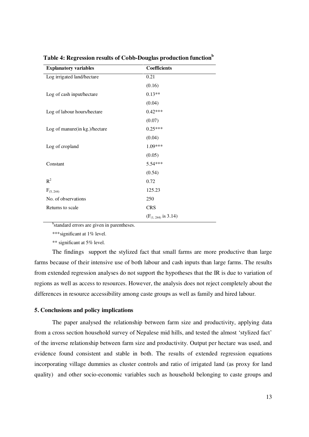| <b>Explanatory variables</b>  | <b>Coefficients</b>   |
|-------------------------------|-----------------------|
| Log irrigated land/hectare    | 0.21                  |
|                               | (0.16)                |
| Log of cash input/hectare     | $0.13**$              |
|                               | (0.04)                |
| Log of labour hours/hectare   | $0.42***$             |
|                               | (0.07)                |
| Log of manure(in kg.)/hectare | $0.25***$             |
|                               | (0.04)                |
| Log of cropland               | 1.09***               |
|                               | (0.05)                |
| Constant                      | 5.54***               |
|                               | (0.54)                |
| $R^2$                         | 0.72                  |
| $F_{(5, 244)}$                | 125.23                |
| No. of observations           | 250                   |
| Returns to scale              | <b>CRS</b>            |
|                               | $(F(1, 244)$ is 3.14) |

**Table 4: Regression results of Cobb-Douglas production function<sup>b</sup>**

<sup>b</sup>standard errors are given in parentheses.

\*\*\*significant at 1% level.

\*\* significant at 5% level.

The findings support the stylized fact that small farms are more productive than large farms because of their intensive use of both labour and cash inputs than large farms. The results from extended regression analyses do not support the hypotheses that the IR is due to variation of regions as well as access to resources. However, the analysis does not reject completely about the differences in resource accessibility among caste groups as well as family and hired labour.

# **5. Conclusions and policy implications**

The paper analysed the relationship between farm size and productivity, applying data from a cross section household survey of Nepalese mid hills, and tested the almost 'stylized fact' of the inverse relationship between farm size and productivity. Output per hectare was used, and evidence found consistent and stable in both. The results of extended regression equations incorporating village dummies as cluster controls and ratio of irrigated land (as proxy for land quality) and other socio-economic variables such as household belonging to caste groups and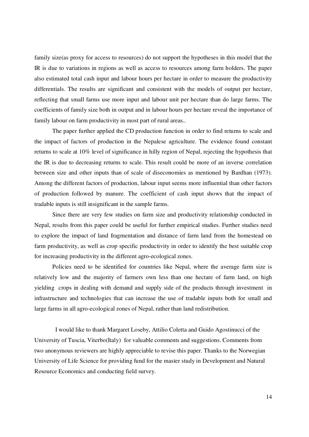family size(as proxy for access to resources) do not support the hypotheses in this model that the IR is due to variations in regions as well as access to resources among farm holders. The paper also estimated total cash input and labour hours per hectare in order to measure the productivity differentials. The results are significant and consistent with the models of output per hectare, reflecting that small farms use more input and labour unit per hectare than do large farms. The coefficients of family size both in output and in labour hours per hectare reveal the importance of family labour on farm productivity in most part of rural areas..

The paper further applied the CD production function in order to find returns to scale and the impact of factors of production in the Nepalese agriculture. The evidence found constant returns to scale at 10% level of significance in hilly region of Nepal, rejecting the hypothesis that the IR is due to decreasing returns to scale. This result could be more of an inverse correlation between size and other inputs than of scale of diseconomies as mentioned by Bardhan (1973). Among the different factors of production, labour input seems more influential than other factors of production followed by manure. The coefficient of cash input shows that the impact of tradable inputs is still insignificant in the sample farms.

Since there are very few studies on farm size and productivity relationship conducted in Nepal, results from this paper could be useful for further empirical studies. Further studies need to explore the impact of land fragmentation and distance of farm land from the homestead on farm productivity, as well as crop specific productivity in order to identify the best suitable crop for increasing productivity in the different agro-ecological zones.

Policies need to be identified for countries like Nepal, where the average farm size is relatively low and the majority of farmers own less than one hectare of farm land, on high yielding crops in dealing with demand and supply side of the products through investment in infrastructure and technologies that can increase the use of tradable inputs both for small and large farms in all agro-ecological zones of Nepal, rather than land redistribution.

I would like to thank Margaret Loseby, Attilio Coletta and Guido Agostinucci of the University of Tuscia, Viterbo(Italy) for valuable comments and suggestions. Comments from two anonymous reviewers are highly appreciable to revise this paper. Thanks to the Norwegian University of Life Science for providing fund for the master study in Development and Natural Resource Economics and conducting field survey.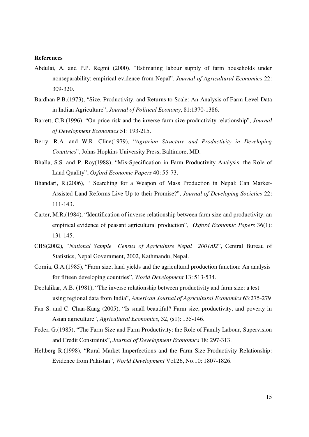#### **References**

- Abdulai, A. and P.P. Regmi (2000). "Estimating labour supply of farm households under nonseparability: empirical evidence from Nepal". *Journal of Agricultural Economics* 22: 309-320.
- Bardhan P.B.(1973), "Size, Productivity, and Returns to Scale: An Analysis of Farm-Level Data in Indian Agriculture", *Journal of Political Economy*, 81:1370-1386.
- Barrett, C.B.(1996), "On price risk and the inverse farm size-productivity relationship", *Journal of Development Economics* 51: 193-215.
- Berry, R.A. and W.R. Cline(1979), "*Agrarian Structure and Productivity in Developing Countries*", Johns Hopkins University Press, Baltimore, MD.
- Bhalla, S.S. and P. Roy(1988), "Mis-Specification in Farm Productivity Analysis: the Role of Land Quality", *Oxford Economic Papers* 40: 55-73.
- Bhandari, R.(2006), " Searching for a Weapon of Mass Production in Nepal: Can Market-Assisted Land Reforms Live Up to their Promise?", *Journal of Developing Societies* 22: 111-143.
- Carter, M.R.(1984), "Identification of inverse relationship between farm size and productivity: an empirical evidence of peasant agricultural production", *Oxford Economic Papers* 36(1): 131-145.
- CBS(2002), "*National Sample Census of Agriculture Nepal 2001/02*", Central Bureau of Statistics, Nepal Government, 2002, Kathmandu, Nepal.
- Cornia, G.A.(1985), "Farm size, land yields and the agricultural production function: An analysis for fifteen developing countries", *World Development* 13: 513-534.
- Deolalikar, A.B. (1981), "The inverse relationship between productivity and farm size: a test using regional data from India", *American Journal of Agricultural Economics* 63:275-279
- Fan S. and C. Chan-Kang (2005), "Is small beautiful? Farm size, productivity, and poverty in Asian agriculture", *Agricultural Economics*, 32, (s1): 135-146.
- Feder, G.(1985), "The Farm Size and Farm Productivity: the Role of Family Labour, Supervision and Credit Constraints", *Journal of Development Economics* 18: 297-313.
- Heltberg R.(1998), "Rural Market Imperfections and the Farm Size-Productivity Relationship: Evidence from Pakistan", *World Development* Vol.26, No.10: 1807-1826.